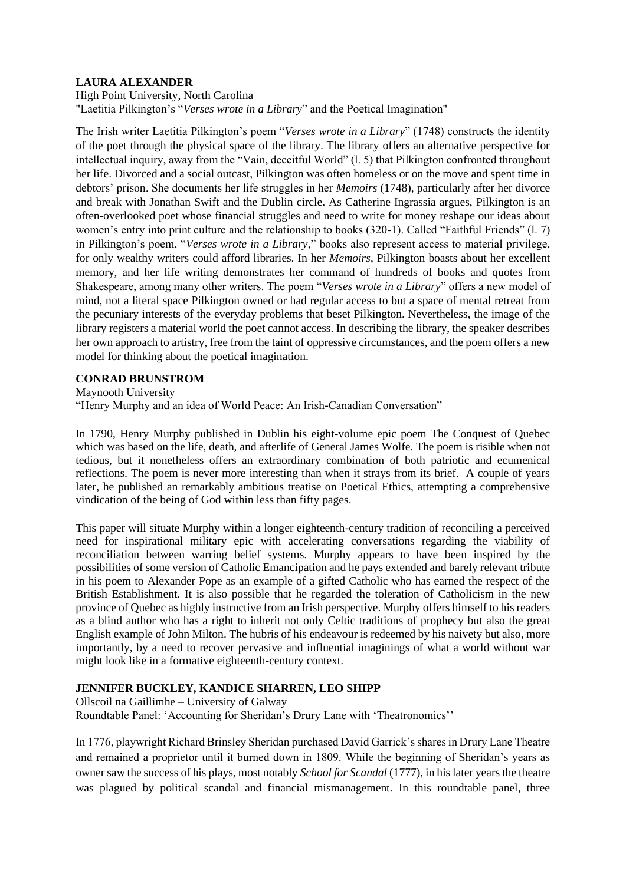# **LAURA ALEXANDER**

### High Point University, North Carolina

"Laetitia Pilkington's "*Verses wrote in a Library*" and the Poetical Imagination"

The Irish writer Laetitia Pilkington's poem "*Verses wrote in a Library*" (1748) constructs the identity of the poet through the physical space of the library. The library offers an alternative perspective for intellectual inquiry, away from the "Vain, deceitful World" (l. 5) that Pilkington confronted throughout her life. Divorced and a social outcast, Pilkington was often homeless or on the move and spent time in debtors' prison. She documents her life struggles in her *Memoirs* (1748), particularly after her divorce and break with Jonathan Swift and the Dublin circle. As Catherine Ingrassia argues, Pilkington is an often-overlooked poet whose financial struggles and need to write for money reshape our ideas about women's entry into print culture and the relationship to books (320-1). Called "Faithful Friends" (l. 7) in Pilkington's poem, "*Verses wrote in a Library*," books also represent access to material privilege, for only wealthy writers could afford libraries. In her *Memoirs*, Pilkington boasts about her excellent memory, and her life writing demonstrates her command of hundreds of books and quotes from Shakespeare, among many other writers. The poem "*Verses wrote in a Library*" offers a new model of mind, not a literal space Pilkington owned or had regular access to but a space of mental retreat from the pecuniary interests of the everyday problems that beset Pilkington. Nevertheless, the image of the library registers a material world the poet cannot access. In describing the library, the speaker describes her own approach to artistry, free from the taint of oppressive circumstances, and the poem offers a new model for thinking about the poetical imagination.

# **CONRAD BRUNSTROM**

Maynooth University

"Henry Murphy and an idea of World Peace: An Irish-Canadian Conversation"

In 1790, Henry Murphy published in Dublin his eight-volume epic poem The Conquest of Quebec which was based on the life, death, and afterlife of General James Wolfe. The poem is risible when not tedious, but it nonetheless offers an extraordinary combination of both patriotic and ecumenical reflections. The poem is never more interesting than when it strays from its brief. A couple of years later, he published an remarkably ambitious treatise on Poetical Ethics, attempting a comprehensive vindication of the being of God within less than fifty pages.

This paper will situate Murphy within a longer eighteenth-century tradition of reconciling a perceived need for inspirational military epic with accelerating conversations regarding the viability of reconciliation between warring belief systems. Murphy appears to have been inspired by the possibilities of some version of Catholic Emancipation and he pays extended and barely relevant tribute in his poem to Alexander Pope as an example of a gifted Catholic who has earned the respect of the British Establishment. It is also possible that he regarded the toleration of Catholicism in the new province of Quebec as highly instructive from an Irish perspective. Murphy offers himself to his readers as a blind author who has a right to inherit not only Celtic traditions of prophecy but also the great English example of John Milton. The hubris of his endeavour is redeemed by his naivety but also, more importantly, by a need to recover pervasive and influential imaginings of what a world without war might look like in a formative eighteenth-century context.

# **JENNIFER BUCKLEY, KANDICE SHARREN, LEO SHIPP**

Ollscoil na Gaillimhe – University of Galway

Roundtable Panel: 'Accounting for Sheridan's Drury Lane with 'Theatronomics''

In 1776, playwright Richard Brinsley Sheridan purchased David Garrick's shares in Drury Lane Theatre and remained a proprietor until it burned down in 1809. While the beginning of Sheridan's years as owner saw the success of his plays, most notably *School for Scandal* (1777), in his later years the theatre was plagued by political scandal and financial mismanagement. In this roundtable panel, three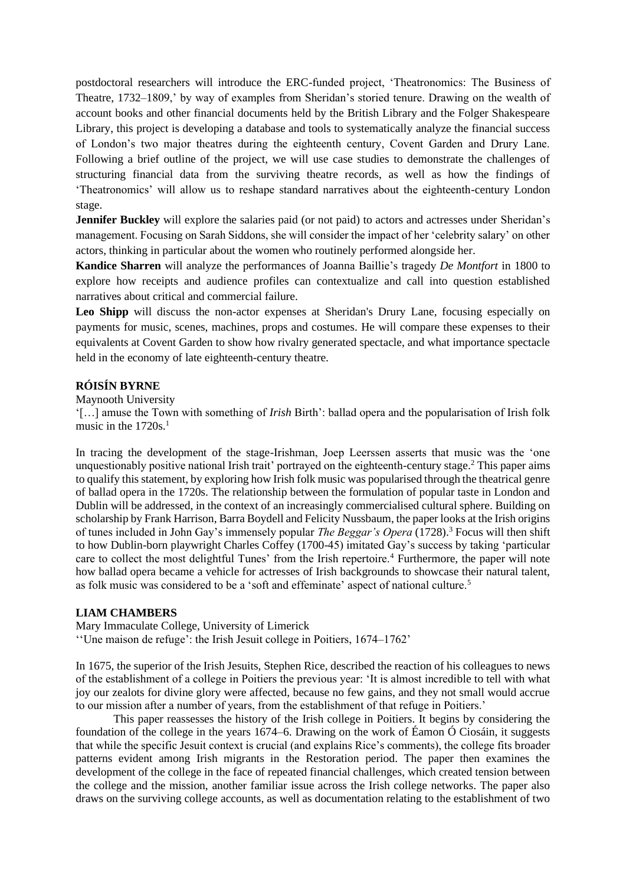postdoctoral researchers will introduce the ERC-funded project, 'Theatronomics: The Business of Theatre, 1732–1809,' by way of examples from Sheridan's storied tenure. Drawing on the wealth of account books and other financial documents held by the British Library and the Folger Shakespeare Library, this project is developing a database and tools to systematically analyze the financial success of London's two major theatres during the eighteenth century, Covent Garden and Drury Lane. Following a brief outline of the project, we will use case studies to demonstrate the challenges of structuring financial data from the surviving theatre records, as well as how the findings of 'Theatronomics' will allow us to reshape standard narratives about the eighteenth-century London stage.

**Jennifer Buckley** will explore the salaries paid (or not paid) to actors and actresses under Sheridan's management. Focusing on Sarah Siddons, she will consider the impact of her 'celebrity salary' on other actors, thinking in particular about the women who routinely performed alongside her.

**Kandice Sharren** will analyze the performances of Joanna Baillie's tragedy *De Montfort* in 1800 to explore how receipts and audience profiles can contextualize and call into question established narratives about critical and commercial failure.

**Leo Shipp** will discuss the non-actor expenses at Sheridan's Drury Lane, focusing especially on payments for music, scenes, machines, props and costumes. He will compare these expenses to their equivalents at Covent Garden to show how rivalry generated spectacle, and what importance spectacle held in the economy of late eighteenth-century theatre.

# **RÓISÍN BYRNE**

Maynooth University

'[…] amuse the Town with something of *Irish* Birth': ballad opera and the popularisation of Irish folk music in the  $1720s<sup>1</sup>$ 

In tracing the development of the stage-Irishman, Joep Leerssen asserts that music was the 'one unquestionably positive national Irish trait' portrayed on the eighteenth-century stage.<sup>2</sup> This paper aims to qualify this statement, by exploring how Irish folk music was popularised through the theatrical genre of ballad opera in the 1720s. The relationship between the formulation of popular taste in London and Dublin will be addressed, in the context of an increasingly commercialised cultural sphere. Building on scholarship by Frank Harrison, Barra Boydell and Felicity Nussbaum, the paper looks at the Irish origins of tunes included in John Gay's immensely popular *The Beggar's Opera* (1728).<sup>3</sup> Focus will then shift to how Dublin-born playwright Charles Coffey (1700-45) imitated Gay's success by taking 'particular care to collect the most delightful Tunes' from the Irish repertoire.<sup>4</sup> Furthermore, the paper will note how ballad opera became a vehicle for actresses of Irish backgrounds to showcase their natural talent, as folk music was considered to be a 'soft and effeminate' aspect of national culture.<sup>5</sup>

#### **LIAM CHAMBERS**

Mary Immaculate College, University of Limerick

''Une maison de refuge': the Irish Jesuit college in Poitiers, 1674–1762'

In 1675, the superior of the Irish Jesuits, Stephen Rice, described the reaction of his colleagues to news of the establishment of a college in Poitiers the previous year: 'It is almost incredible to tell with what joy our zealots for divine glory were affected, because no few gains, and they not small would accrue to our mission after a number of years, from the establishment of that refuge in Poitiers.'

This paper reassesses the history of the Irish college in Poitiers. It begins by considering the foundation of the college in the years 1674–6. Drawing on the work of Éamon Ó Ciosáin, it suggests that while the specific Jesuit context is crucial (and explains Rice's comments), the college fits broader patterns evident among Irish migrants in the Restoration period. The paper then examines the development of the college in the face of repeated financial challenges, which created tension between the college and the mission, another familiar issue across the Irish college networks. The paper also draws on the surviving college accounts, as well as documentation relating to the establishment of two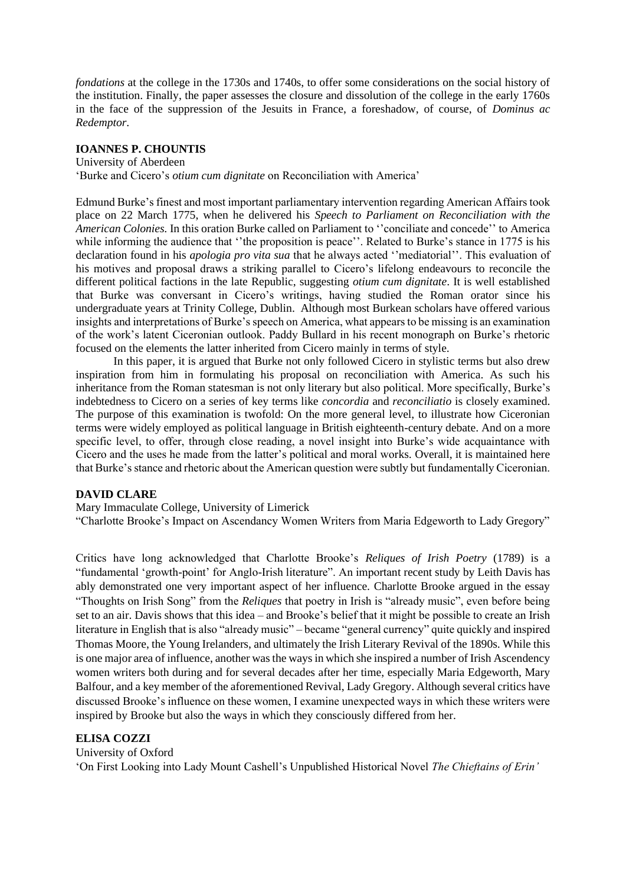*fondations* at the college in the 1730s and 1740s, to offer some considerations on the social history of the institution. Finally, the paper assesses the closure and dissolution of the college in the early 1760s in the face of the suppression of the Jesuits in France, a foreshadow, of course, of *Dominus ac Redemptor*.

# **IOANNES P. CHOUNTIS**

University of Aberdeen

'Burke and Cicero's *otium cum dignitate* on Reconciliation with America'

Edmund Burke's finest and most important parliamentary intervention regarding American Affairs took place on 22 March 1775, when he delivered his *Speech to Parliament on Reconciliation with the American Colonies.* In this oration Burke called on Parliament to ''conciliate and concede'' to America while informing the audience that "the proposition is peace". Related to Burke's stance in 1775 is his declaration found in his *apologia pro vita sua* that he always acted ''mediatorial''. This evaluation of his motives and proposal draws a striking parallel to Cicero's lifelong endeavours to reconcile the different political factions in the late Republic, suggesting *otium cum dignitate*. It is well established that Burke was conversant in Cicero's writings, having studied the Roman orator since his undergraduate years at Trinity College, Dublin. Although most Burkean scholars have offered various insights and interpretations of Burke's speech on America, what appears to be missing is an examination of the work's latent Ciceronian outlook. Paddy Bullard in his recent monograph on Burke's rhetoric focused on the elements the latter inherited from Cicero mainly in terms of style.

In this paper, it is argued that Burke not only followed Cicero in stylistic terms but also drew inspiration from him in formulating his proposal on reconciliation with America. As such his inheritance from the Roman statesman is not only literary but also political. More specifically, Burke's indebtedness to Cicero on a series of key terms like *concordia* and *reconciliatio* is closely examined. The purpose of this examination is twofold: On the more general level, to illustrate how Ciceronian terms were widely employed as political language in British eighteenth-century debate. And on a more specific level, to offer, through close reading, a novel insight into Burke's wide acquaintance with Cicero and the uses he made from the latter's political and moral works. Overall, it is maintained here that Burke's stance and rhetoric about the American question were subtly but fundamentally Ciceronian.

# **DAVID CLARE**

Mary Immaculate College, University of Limerick

"Charlotte Brooke's Impact on Ascendancy Women Writers from Maria Edgeworth to Lady Gregory"

Critics have long acknowledged that Charlotte Brooke's *Reliques of Irish Poetry* (1789) is a "fundamental 'growth-point' for Anglo-Irish literature". An important recent study by Leith Davis has ably demonstrated one very important aspect of her influence. Charlotte Brooke argued in the essay "Thoughts on Irish Song" from the *Reliques* that poetry in Irish is "already music", even before being set to an air. Davis shows that this idea – and Brooke's belief that it might be possible to create an Irish literature in English that is also "already music" – became "general currency" quite quickly and inspired Thomas Moore, the Young Irelanders, and ultimately the Irish Literary Revival of the 1890s. While this is one major area of influence, another was the ways in which she inspired a number of Irish Ascendency women writers both during and for several decades after her time, especially Maria Edgeworth, Mary Balfour, and a key member of the aforementioned Revival, Lady Gregory. Although several critics have discussed Brooke's influence on these women, I examine unexpected ways in which these writers were inspired by Brooke but also the ways in which they consciously differed from her.

# **ELISA COZZI**

University of Oxford 'On First Looking into Lady Mount Cashell's Unpublished Historical Novel *The Chieftains of Erin'*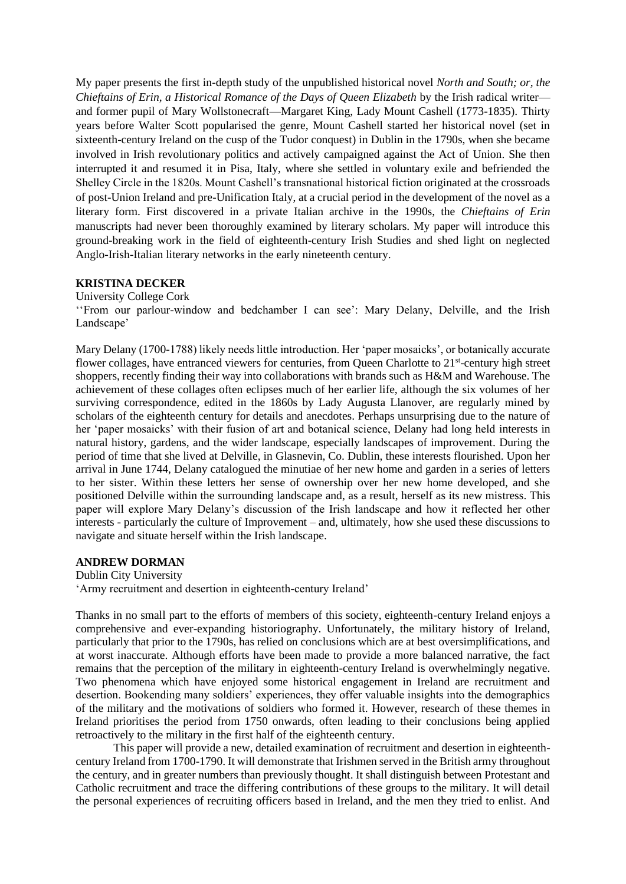My paper presents the first in-depth study of the unpublished historical novel *North and South; or, the Chieftains of Erin, a Historical Romance of the Days of Queen Elizabeth* by the Irish radical writer and former pupil of Mary Wollstonecraft—Margaret King, Lady Mount Cashell (1773-1835). Thirty years before Walter Scott popularised the genre, Mount Cashell started her historical novel (set in sixteenth-century Ireland on the cusp of the Tudor conquest) in Dublin in the 1790s, when she became involved in Irish revolutionary politics and actively campaigned against the Act of Union. She then interrupted it and resumed it in Pisa, Italy, where she settled in voluntary exile and befriended the Shelley Circle in the 1820s. Mount Cashell's transnational historical fiction originated at the crossroads of post-Union Ireland and pre-Unification Italy, at a crucial period in the development of the novel as a literary form. First discovered in a private Italian archive in the 1990s, the *Chieftains of Erin* manuscripts had never been thoroughly examined by literary scholars. My paper will introduce this ground-breaking work in the field of eighteenth-century Irish Studies and shed light on neglected Anglo-Irish-Italian literary networks in the early nineteenth century.

# **KRISTINA DECKER**

University College Cork

''From our parlour-window and bedchamber I can see': Mary Delany, Delville, and the Irish Landscape'

Mary Delany (1700-1788) likely needs little introduction. Her 'paper mosaicks', or botanically accurate flower collages, have entranced viewers for centuries, from Queen Charlotte to 21<sup>st</sup>-century high street shoppers, recently finding their way into collaborations with brands such as H&M and Warehouse. The achievement of these collages often eclipses much of her earlier life, although the six volumes of her surviving correspondence, edited in the 1860s by Lady Augusta Llanover, are regularly mined by scholars of the eighteenth century for details and anecdotes. Perhaps unsurprising due to the nature of her 'paper mosaicks' with their fusion of art and botanical science, Delany had long held interests in natural history, gardens, and the wider landscape, especially landscapes of improvement. During the period of time that she lived at Delville, in Glasnevin, Co. Dublin, these interests flourished. Upon her arrival in June 1744, Delany catalogued the minutiae of her new home and garden in a series of letters to her sister. Within these letters her sense of ownership over her new home developed, and she positioned Delville within the surrounding landscape and, as a result, herself as its new mistress. This paper will explore Mary Delany's discussion of the Irish landscape and how it reflected her other interests - particularly the culture of Improvement – and, ultimately, how she used these discussions to navigate and situate herself within the Irish landscape.

### **ANDREW DORMAN**

Dublin City University

'Army recruitment and desertion in eighteenth-century Ireland'

Thanks in no small part to the efforts of members of this society, eighteenth-century Ireland enjoys a comprehensive and ever-expanding historiography. Unfortunately, the military history of Ireland, particularly that prior to the 1790s, has relied on conclusions which are at best oversimplifications, and at worst inaccurate. Although efforts have been made to provide a more balanced narrative, the fact remains that the perception of the military in eighteenth-century Ireland is overwhelmingly negative. Two phenomena which have enjoyed some historical engagement in Ireland are recruitment and desertion. Bookending many soldiers' experiences, they offer valuable insights into the demographics of the military and the motivations of soldiers who formed it. However, research of these themes in Ireland prioritises the period from 1750 onwards, often leading to their conclusions being applied retroactively to the military in the first half of the eighteenth century.

This paper will provide a new, detailed examination of recruitment and desertion in eighteenthcentury Ireland from 1700-1790. It will demonstrate that Irishmen served in the British army throughout the century, and in greater numbers than previously thought. It shall distinguish between Protestant and Catholic recruitment and trace the differing contributions of these groups to the military. It will detail the personal experiences of recruiting officers based in Ireland, and the men they tried to enlist. And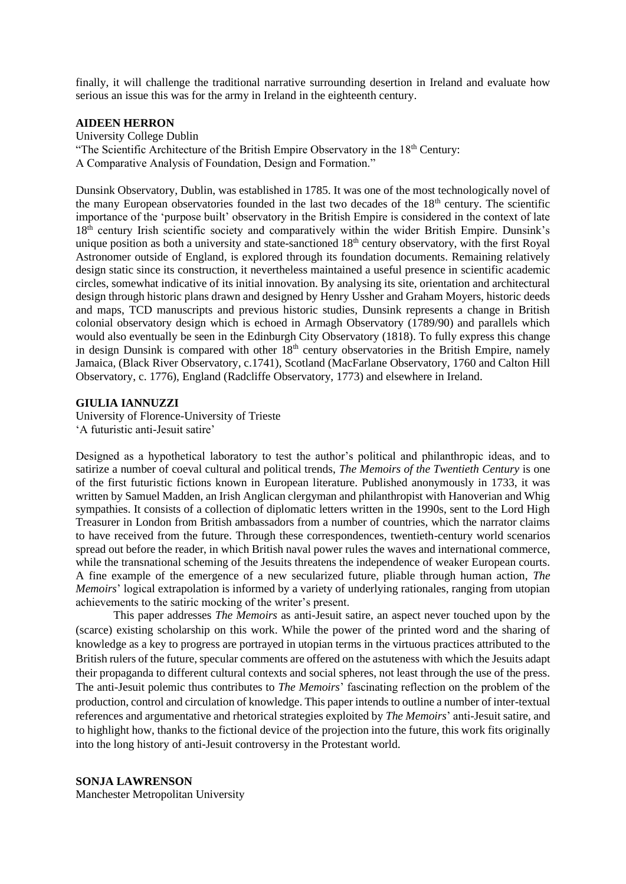finally, it will challenge the traditional narrative surrounding desertion in Ireland and evaluate how serious an issue this was for the army in Ireland in the eighteenth century.

### **AIDEEN HERRON**

University College Dublin

"The Scientific Architecture of the British Empire Observatory in the  $18<sup>th</sup>$  Century:

A Comparative Analysis of Foundation, Design and Formation."

Dunsink Observatory, Dublin, was established in 1785. It was one of the most technologically novel of the many European observatories founded in the last two decades of the 18<sup>th</sup> century. The scientific importance of the 'purpose built' observatory in the British Empire is considered in the context of late 18<sup>th</sup> century Irish scientific society and comparatively within the wider British Empire. Dunsink's unique position as both a university and state-sanctioned 18<sup>th</sup> century observatory, with the first Royal Astronomer outside of England, is explored through its foundation documents. Remaining relatively design static since its construction, it nevertheless maintained a useful presence in scientific academic circles, somewhat indicative of its initial innovation. By analysing its site, orientation and architectural design through historic plans drawn and designed by Henry Ussher and Graham Moyers, historic deeds and maps, TCD manuscripts and previous historic studies, Dunsink represents a change in British colonial observatory design which is echoed in Armagh Observatory (1789/90) and parallels which would also eventually be seen in the Edinburgh City Observatory (1818). To fully express this change in design Dunsink is compared with other  $18<sup>th</sup>$  century observatories in the British Empire, namely Jamaica, (Black River Observatory, c.1741), Scotland (MacFarlane Observatory, 1760 and Calton Hill Observatory, c. 1776), England (Radcliffe Observatory, 1773) and elsewhere in Ireland.

#### **GIULIA IANNUZZI**

University of Florence-University of Trieste 'A futuristic anti-Jesuit satire'

Designed as a hypothetical laboratory to test the author's political and philanthropic ideas, and to satirize a number of coeval cultural and political trends, *The Memoirs of the Twentieth Century* is one of the first futuristic fictions known in European literature. Published anonymously in 1733, it was written by Samuel Madden, an Irish Anglican clergyman and philanthropist with Hanoverian and Whig sympathies. It consists of a collection of diplomatic letters written in the 1990s, sent to the Lord High Treasurer in London from British ambassadors from a number of countries, which the narrator claims to have received from the future. Through these correspondences, twentieth-century world scenarios spread out before the reader, in which British naval power rules the waves and international commerce, while the transnational scheming of the Jesuits threatens the independence of weaker European courts. A fine example of the emergence of a new secularized future, pliable through human action, *The Memoirs*' logical extrapolation is informed by a variety of underlying rationales, ranging from utopian achievements to the satiric mocking of the writer's present.

This paper addresses *The Memoirs* as anti-Jesuit satire, an aspect never touched upon by the (scarce) existing scholarship on this work. While the power of the printed word and the sharing of knowledge as a key to progress are portrayed in utopian terms in the virtuous practices attributed to the British rulers of the future, specular comments are offered on the astuteness with which the Jesuits adapt their propaganda to different cultural contexts and social spheres, not least through the use of the press. The anti-Jesuit polemic thus contributes to *The Memoirs*' fascinating reflection on the problem of the production, control and circulation of knowledge. This paper intends to outline a number of inter-textual references and argumentative and rhetorical strategies exploited by *The Memoirs*' anti-Jesuit satire, and to highlight how, thanks to the fictional device of the projection into the future, this work fits originally into the long history of anti-Jesuit controversy in the Protestant world.

#### **SONJA LAWRENSON**

Manchester Metropolitan University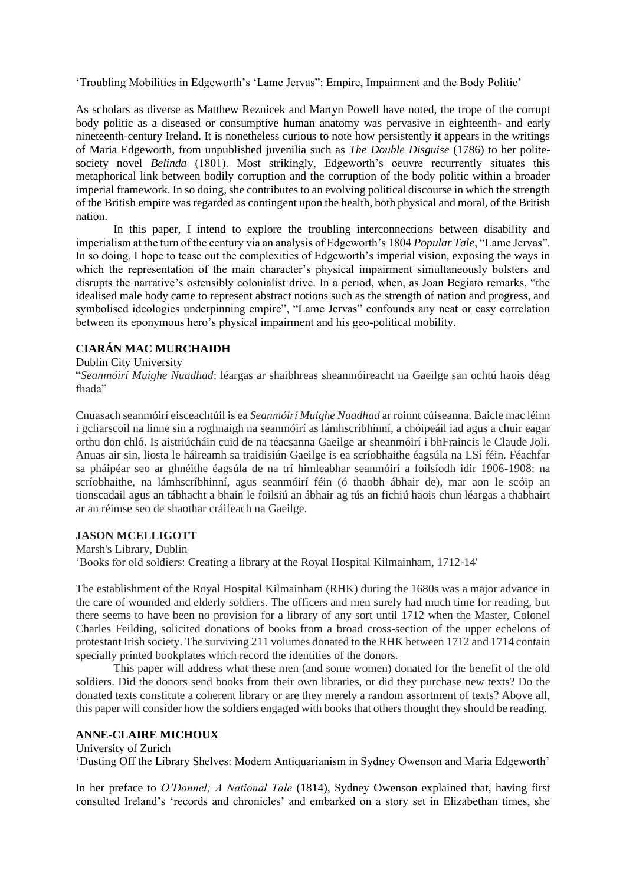'Troubling Mobilities in Edgeworth's 'Lame Jervas": Empire, Impairment and the Body Politic'

As scholars as diverse as Matthew Reznicek and Martyn Powell have noted, the trope of the corrupt body politic as a diseased or consumptive human anatomy was pervasive in eighteenth- and early nineteenth-century Ireland. It is nonetheless curious to note how persistently it appears in the writings of Maria Edgeworth, from unpublished juvenilia such as *The Double Disguise* (1786) to her politesociety novel *Belinda* (1801). Most strikingly, Edgeworth's oeuvre recurrently situates this metaphorical link between bodily corruption and the corruption of the body politic within a broader imperial framework. In so doing, she contributes to an evolving political discourse in which the strength of the British empire was regarded as contingent upon the health, both physical and moral, of the British nation.

In this paper, I intend to explore the troubling interconnections between disability and imperialism at the turn of the century via an analysis of Edgeworth's 1804 *Popular Tale*, "Lame Jervas". In so doing, I hope to tease out the complexities of Edgeworth's imperial vision, exposing the ways in which the representation of the main character's physical impairment simultaneously bolsters and disrupts the narrative's ostensibly colonialist drive. In a period, when, as Joan Begiato remarks, "the idealised male body came to represent abstract notions such as the strength of nation and progress, and symbolised ideologies underpinning empire", "Lame Jervas" confounds any neat or easy correlation between its eponymous hero's physical impairment and his geo-political mobility.

# **CIARÁN MAC MURCHAIDH**

### Dublin City University

"*Seanmóirí Muighe Nuadhad*: léargas ar shaibhreas sheanmóireacht na Gaeilge san ochtú haois déag fhada"

Cnuasach seanmóirí eisceachtúil is ea *Seanmóirí Muighe Nuadhad* ar roinnt cúiseanna. Baicle mac léinn i gcliarscoil na linne sin a roghnaigh na seanmóirí as lámhscríbhinní, a chóipeáil iad agus a chuir eagar orthu don chló. Is aistriúcháin cuid de na téacsanna Gaeilge ar sheanmóirí i bhFraincis le Claude Joli. Anuas air sin, liosta le háireamh sa traidisiún Gaeilge is ea scríobhaithe éagsúla na LSí féin. Féachfar sa pháipéar seo ar ghnéithe éagsúla de na trí himleabhar seanmóirí a foilsíodh idir 1906-1908: na scríobhaithe, na lámhscríbhinní, agus seanmóirí féin (ó thaobh ábhair de), mar aon le scóip an tionscadail agus an tábhacht a bhain le foilsiú an ábhair ag tús an fichiú haois chun léargas a thabhairt ar an réimse seo de shaothar cráifeach na Gaeilge.

### **JASON MCELLIGOTT**

Marsh's Library, Dublin

'Books for old soldiers: Creating a library at the Royal Hospital Kilmainham, 1712-14'

The establishment of the Royal Hospital Kilmainham (RHK) during the 1680s was a major advance in the care of wounded and elderly soldiers. The officers and men surely had much time for reading, but there seems to have been no provision for a library of any sort until 1712 when the Master, Colonel Charles Feilding, solicited donations of books from a broad cross-section of the upper echelons of protestant Irish society. The surviving 211 volumes donated to the RHK between 1712 and 1714 contain specially printed bookplates which record the identities of the donors.

This paper will address what these men (and some women) donated for the benefit of the old soldiers. Did the donors send books from their own libraries, or did they purchase new texts? Do the donated texts constitute a coherent library or are they merely a random assortment of texts? Above all, this paper will consider how the soldiers engaged with books that others thought they should be reading.

#### **ANNE-CLAIRE MICHOUX**

University of Zurich

'Dusting Off the Library Shelves: Modern Antiquarianism in Sydney Owenson and Maria Edgeworth'

In her preface to *O'Donnel; A National Tale* (1814), Sydney Owenson explained that, having first consulted Ireland's 'records and chronicles' and embarked on a story set in Elizabethan times, she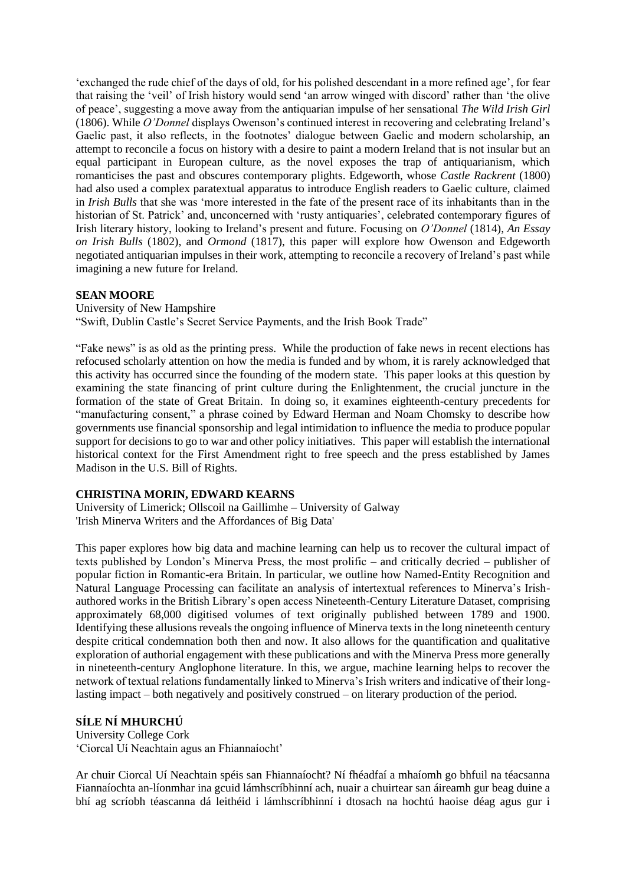'exchanged the rude chief of the days of old, for his polished descendant in a more refined age', for fear that raising the 'veil' of Irish history would send 'an arrow winged with discord' rather than 'the olive of peace', suggesting a move away from the antiquarian impulse of her sensational *The Wild Irish Girl*  (1806). While *O'Donnel* displays Owenson's continued interest in recovering and celebrating Ireland's Gaelic past, it also reflects, in the footnotes' dialogue between Gaelic and modern scholarship, an attempt to reconcile a focus on history with a desire to paint a modern Ireland that is not insular but an equal participant in European culture, as the novel exposes the trap of antiquarianism, which romanticises the past and obscures contemporary plights. Edgeworth, whose *Castle Rackrent* (1800) had also used a complex paratextual apparatus to introduce English readers to Gaelic culture, claimed in *Irish Bulls* that she was 'more interested in the fate of the present race of its inhabitants than in the historian of St. Patrick' and, unconcerned with 'rusty antiquaries', celebrated contemporary figures of Irish literary history, looking to Ireland's present and future. Focusing on *O'Donnel* (1814), *An Essay on Irish Bulls* (1802), and *Ormond* (1817), this paper will explore how Owenson and Edgeworth negotiated antiquarian impulses in their work, attempting to reconcile a recovery of Ireland's past while imagining a new future for Ireland.

# **SEAN MOORE**

University of New Hampshire "Swift, Dublin Castle's Secret Service Payments, and the Irish Book Trade"

"Fake news" is as old as the printing press. While the production of fake news in recent elections has refocused scholarly attention on how the media is funded and by whom, it is rarely acknowledged that this activity has occurred since the founding of the modern state. This paper looks at this question by examining the state financing of print culture during the Enlightenment, the crucial juncture in the formation of the state of Great Britain. In doing so, it examines eighteenth-century precedents for "manufacturing consent," a phrase coined by Edward Herman and Noam Chomsky to describe how governments use financial sponsorship and legal intimidation to influence the media to produce popular support for decisions to go to war and other policy initiatives. This paper will establish the international historical context for the First Amendment right to free speech and the press established by James Madison in the U.S. Bill of Rights.

# **CHRISTINA MORIN, EDWARD KEARNS**

University of Limerick; Ollscoil na Gaillimhe – University of Galway 'Irish Minerva Writers and the Affordances of Big Data'

This paper explores how big data and machine learning can help us to recover the cultural impact of texts published by London's Minerva Press, the most prolific – and critically decried – publisher of popular fiction in Romantic-era Britain. In particular, we outline how Named-Entity Recognition and Natural Language Processing can facilitate an analysis of intertextual references to Minerva's Irishauthored works in the British Library's open access Nineteenth-Century Literature Dataset, comprising approximately 68,000 digitised volumes of text originally published between 1789 and 1900. Identifying these allusions reveals the ongoing influence of Minerva texts in the long nineteenth century despite critical condemnation both then and now. It also allows for the quantification and qualitative exploration of authorial engagement with these publications and with the Minerva Press more generally in nineteenth-century Anglophone literature. In this, we argue, machine learning helps to recover the network of textual relations fundamentally linked to Minerva's Irish writers and indicative of their longlasting impact – both negatively and positively construed – on literary production of the period.

# **SÍLE NÍ MHURCHÚ**

University College Cork 'Ciorcal Uí Neachtain agus an Fhiannaíocht'

Ar chuir Ciorcal Uí Neachtain spéis san Fhiannaíocht? Ní fhéadfaí a mhaíomh go bhfuil na téacsanna Fiannaíochta an-líonmhar ina gcuid lámhscríbhinní ach, nuair a chuirtear san áireamh gur beag duine a bhí ag scríobh téascanna dá leithéid i lámhscríbhinní i dtosach na hochtú haoise déag agus gur i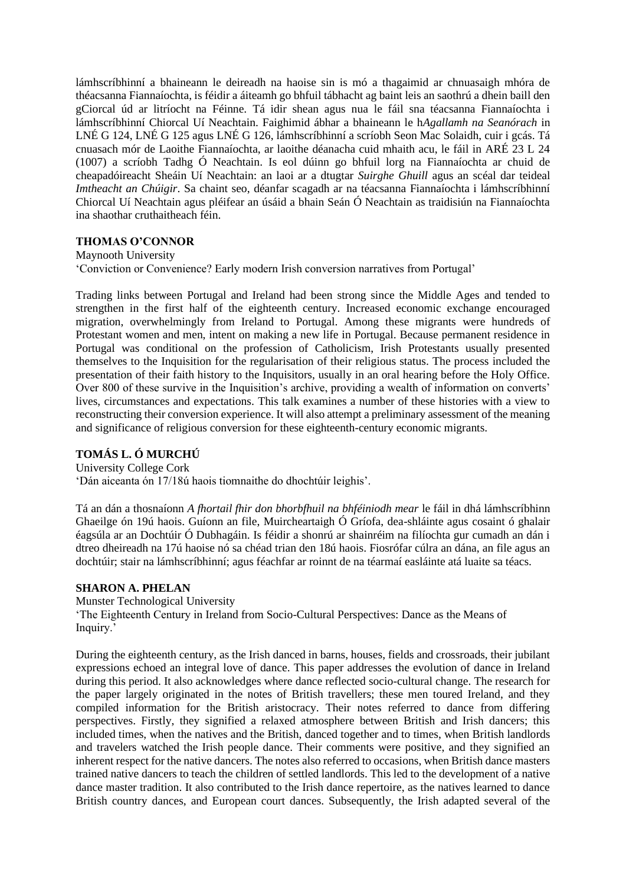lámhscríbhinní a bhaineann le deireadh na haoise sin is mó a thagaimid ar chnuasaigh mhóra de théacsanna Fiannaíochta, is féidir a áiteamh go bhfuil tábhacht ag baint leis an saothrú a dhein baill den gCiorcal úd ar litríocht na Féinne. Tá idir shean agus nua le fáil sna téacsanna Fiannaíochta i lámhscríbhinní Chiorcal Uí Neachtain. Faighimid ábhar a bhaineann le h*Agallamh na Seanórach* in LNÉ G 124, LNÉ G 125 agus LNÉ G 126, lámhscríbhinní a scríobh Seon Mac Solaidh, cuir i gcás. Tá cnuasach mór de Laoithe Fiannaíochta, ar laoithe déanacha cuid mhaith acu, le fáil in ARÉ 23 L 24 (1007) a scríobh Tadhg Ó Neachtain. Is eol dúinn go bhfuil lorg na Fiannaíochta ar chuid de cheapadóireacht Sheáin Uí Neachtain: an laoi ar a dtugtar *Suirghe Ghuill* agus an scéal dar teideal *Imtheacht an Chúigir*. Sa chaint seo, déanfar scagadh ar na téacsanna Fiannaíochta i lámhscríbhinní Chiorcal Uí Neachtain agus pléifear an úsáid a bhain Seán Ó Neachtain as traidisiún na Fiannaíochta ina shaothar cruthaitheach féin.

# **THOMAS O'CONNOR**

Maynooth University

'Conviction or Convenience? Early modern Irish conversion narratives from Portugal'

Trading links between Portugal and Ireland had been strong since the Middle Ages and tended to strengthen in the first half of the eighteenth century. Increased economic exchange encouraged migration, overwhelmingly from Ireland to Portugal. Among these migrants were hundreds of Protestant women and men, intent on making a new life in Portugal. Because permanent residence in Portugal was conditional on the profession of Catholicism, Irish Protestants usually presented themselves to the Inquisition for the regularisation of their religious status. The process included the presentation of their faith history to the Inquisitors, usually in an oral hearing before the Holy Office. Over 800 of these survive in the Inquisition's archive, providing a wealth of information on converts' lives, circumstances and expectations. This talk examines a number of these histories with a view to reconstructing their conversion experience. It will also attempt a preliminary assessment of the meaning and significance of religious conversion for these eighteenth-century economic migrants.

# **TOMÁS L. Ó MURCHÚ**

University College Cork 'Dán aiceanta ón 17/18ú haois tiomnaithe do dhochtúir leighis'.

Tá an dán a thosnaíonn *A fhortail fhir don bhorbfhuil na bhféiniodh mear* le fáil in dhá lámhscríbhinn Ghaeilge ón 19ú haois. Guíonn an file, Muircheartaigh Ó Gríofa, dea-shláinte agus cosaint ó ghalair éagsúla ar an Dochtúir Ó Dubhagáin. Is féidir a shonrú ar shainréim na filíochta gur cumadh an dán i dtreo dheireadh na 17ú haoise nó sa chéad trian den 18ú haois. Fiosrófar cúlra an dána, an file agus an dochtúir; stair na lámhscríbhinní; agus féachfar ar roinnt de na téarmaí easláinte atá luaite sa téacs.

# **SHARON A. PHELAN**

Munster Technological University 'The Eighteenth Century in Ireland from Socio-Cultural Perspectives: Dance as the Means of Inquiry.'

During the eighteenth century, as the Irish danced in barns, houses, fields and crossroads, their jubilant expressions echoed an integral love of dance. This paper addresses the evolution of dance in Ireland during this period. It also acknowledges where dance reflected socio-cultural change. The research for the paper largely originated in the notes of British travellers; these men toured Ireland, and they compiled information for the British aristocracy. Their notes referred to dance from differing perspectives. Firstly, they signified a relaxed atmosphere between British and Irish dancers; this included times, when the natives and the British, danced together and to times, when British landlords and travelers watched the Irish people dance. Their comments were positive, and they signified an inherent respect for the native dancers. The notes also referred to occasions, when British dance masters trained native dancers to teach the children of settled landlords. This led to the development of a native dance master tradition. It also contributed to the Irish dance repertoire, as the natives learned to dance British country dances, and European court dances. Subsequently, the Irish adapted several of the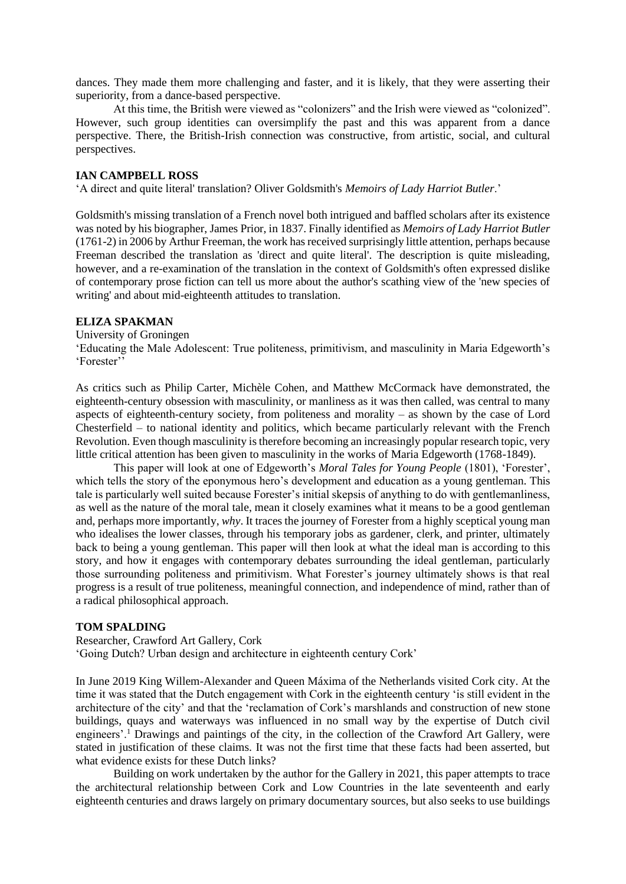dances. They made them more challenging and faster, and it is likely, that they were asserting their superiority, from a dance-based perspective.

At this time, the British were viewed as "colonizers" and the Irish were viewed as "colonized". However, such group identities can oversimplify the past and this was apparent from a dance perspective. There, the British-Irish connection was constructive, from artistic, social, and cultural perspectives.

#### **IAN CAMPBELL ROSS**

'A direct and quite literal' translation? Oliver Goldsmith's *Memoirs of Lady Harriot Butler*.'

Goldsmith's missing translation of a French novel both intrigued and baffled scholars after its existence was noted by his biographer, James Prior, in 1837. Finally identified as *Memoirs of Lady Harriot Butler*  (1761-2) in 2006 by Arthur Freeman, the work has received surprisingly little attention, perhaps because Freeman described the translation as 'direct and quite literal'. The description is quite misleading, however, and a re-examination of the translation in the context of Goldsmith's often expressed dislike of contemporary prose fiction can tell us more about the author's scathing view of the 'new species of writing' and about mid-eighteenth attitudes to translation.

### **ELIZA SPAKMAN**

University of Groningen

'Educating the Male Adolescent: True politeness, primitivism, and masculinity in Maria Edgeworth's 'Forester''

As critics such as Philip Carter, Michèle Cohen, and Matthew McCormack have demonstrated, the eighteenth-century obsession with masculinity, or manliness as it was then called, was central to many aspects of eighteenth-century society, from politeness and morality – as shown by the case of Lord Chesterfield – to national identity and politics, which became particularly relevant with the French Revolution. Even though masculinity is therefore becoming an increasingly popular research topic, very little critical attention has been given to masculinity in the works of Maria Edgeworth (1768-1849).

This paper will look at one of Edgeworth's *Moral Tales for Young People* (1801), 'Forester', which tells the story of the eponymous hero's development and education as a young gentleman. This tale is particularly well suited because Forester's initial skepsis of anything to do with gentlemanliness, as well as the nature of the moral tale, mean it closely examines what it means to be a good gentleman and, perhaps more importantly, *why*. It traces the journey of Forester from a highly sceptical young man who idealises the lower classes, through his temporary jobs as gardener, clerk, and printer, ultimately back to being a young gentleman. This paper will then look at what the ideal man is according to this story, and how it engages with contemporary debates surrounding the ideal gentleman, particularly those surrounding politeness and primitivism. What Forester's journey ultimately shows is that real progress is a result of true politeness, meaningful connection, and independence of mind, rather than of a radical philosophical approach.

#### **TOM SPALDING**

Researcher, Crawford Art Gallery, Cork 'Going Dutch? Urban design and architecture in eighteenth century Cork'

In June 2019 King Willem-Alexander and Queen Máxima of the Netherlands visited Cork city. At the time it was stated that the Dutch engagement with Cork in the eighteenth century 'is still evident in the architecture of the city' and that the 'reclamation of Cork's marshlands and construction of new stone buildings, quays and waterways was influenced in no small way by the expertise of Dutch civil engineers'.<sup>1</sup> Drawings and paintings of the city, in the collection of the Crawford Art Gallery, were stated in justification of these claims. It was not the first time that these facts had been asserted, but what evidence exists for these Dutch links?

Building on work undertaken by the author for the Gallery in 2021, this paper attempts to trace the architectural relationship between Cork and Low Countries in the late seventeenth and early eighteenth centuries and draws largely on primary documentary sources, but also seeks to use buildings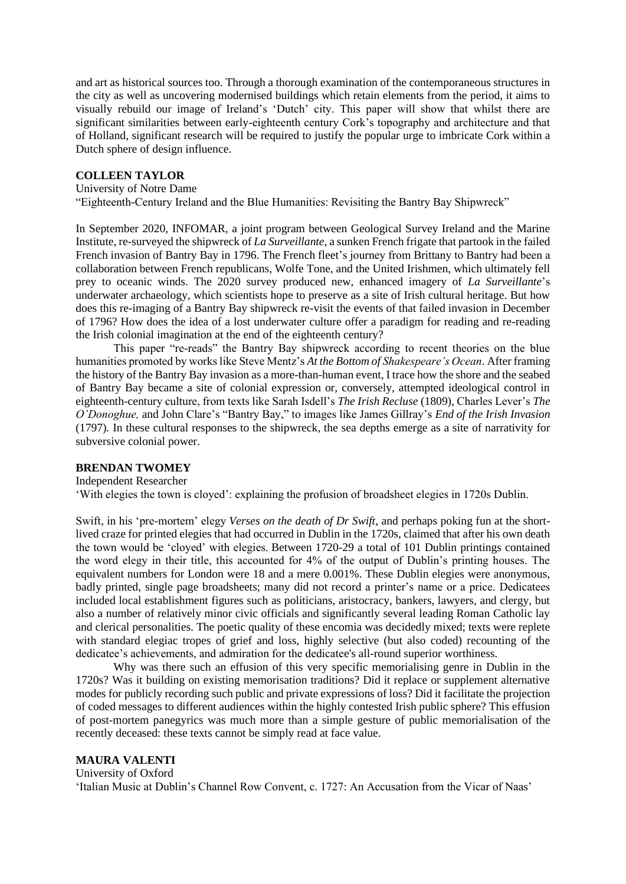and art as historical sources too. Through a thorough examination of the contemporaneous structures in the city as well as uncovering modernised buildings which retain elements from the period, it aims to visually rebuild our image of Ireland's 'Dutch' city. This paper will show that whilst there are significant similarities between early-eighteenth century Cork's topography and architecture and that of Holland, significant research will be required to justify the popular urge to imbricate Cork within a Dutch sphere of design influence.

### **COLLEEN TAYLOR**

### University of Notre Dame

"Eighteenth-Century Ireland and the Blue Humanities: Revisiting the Bantry Bay Shipwreck"

In September 2020, INFOMAR, a joint program between Geological Survey Ireland and the Marine Institute, re-surveyed the shipwreck of *La Surveillante,* a sunken French frigate that partook in the failed French invasion of Bantry Bay in 1796. The French fleet's journey from Brittany to Bantry had been a collaboration between French republicans, Wolfe Tone, and the United Irishmen, which ultimately fell prey to oceanic winds. The 2020 survey produced new, enhanced imagery of *La Surveillante*'s underwater archaeology, which scientists hope to preserve as a site of Irish cultural heritage. But how does this re-imaging of a Bantry Bay shipwreck re-visit the events of that failed invasion in December of 1796? How does the idea of a lost underwater culture offer a paradigm for reading and re-reading the Irish colonial imagination at the end of the eighteenth century?

This paper "re-reads" the Bantry Bay shipwreck according to recent theories on the blue humanities promoted by works like Steve Mentz's *At the Bottom of Shakespeare's Ocean*. After framing the history of the Bantry Bay invasion as a more-than-human event, I trace how the shore and the seabed of Bantry Bay became a site of colonial expression or, conversely, attempted ideological control in eighteenth-century culture, from texts like Sarah Isdell's *The Irish Recluse* (1809)*,* Charles Lever's *The O'Donoghue,* and John Clare's "Bantry Bay," to images like James Gillray's *End of the Irish Invasion*  (1797)*.* In these cultural responses to the shipwreck, the sea depths emerge as a site of narrativity for subversive colonial power.

### **BRENDAN TWOMEY**

Independent Researcher

'With elegies the town is cloyed': explaining the profusion of broadsheet elegies in 1720s Dublin.

Swift, in his 'pre-mortem' elegy *Verses on the death of Dr Swift*, and perhaps poking fun at the shortlived craze for printed elegies that had occurred in Dublin in the 1720s, claimed that after his own death the town would be 'cloyed' with elegies. Between 1720-29 a total of 101 Dublin printings contained the word elegy in their title, this accounted for 4% of the output of Dublin's printing houses. The equivalent numbers for London were 18 and a mere 0.001%. These Dublin elegies were anonymous, badly printed, single page broadsheets; many did not record a printer's name or a price. Dedicatees included local establishment figures such as politicians, aristocracy, bankers, lawyers, and clergy, but also a number of relatively minor civic officials and significantly several leading Roman Catholic lay and clerical personalities. The poetic quality of these encomia was decidedly mixed; texts were replete with standard elegiac tropes of grief and loss, highly selective (but also coded) recounting of the dedicatee's achievements, and admiration for the dedicatee's all-round superior worthiness.

Why was there such an effusion of this very specific memorialising genre in Dublin in the 1720s? Was it building on existing memorisation traditions? Did it replace or supplement alternative modes for publicly recording such public and private expressions of loss? Did it facilitate the projection of coded messages to different audiences within the highly contested Irish public sphere? This effusion of post-mortem panegyrics was much more than a simple gesture of public memorialisation of the recently deceased: these texts cannot be simply read at face value.

**MAURA VALENTI** University of Oxford 'Italian Music at Dublin's Channel Row Convent, c. 1727: An Accusation from the Vicar of Naas'